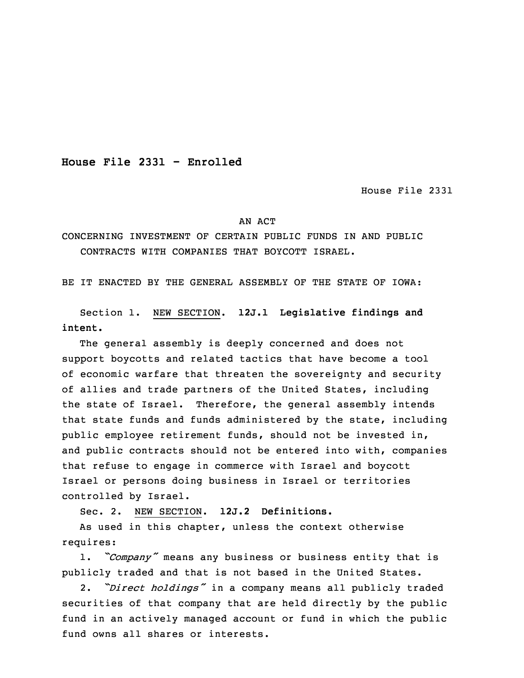**House File 2331 - Enrolled**

House File 2331

## AN ACT

## CONCERNING INVESTMENT OF CERTAIN PUBLIC FUNDS IN AND PUBLIC CONTRACTS WITH COMPANIES THAT BOYCOTT ISRAEL.

BE IT ENACTED BY THE GENERAL ASSEMBLY OF THE STATE OF IOWA:

Section 1. NEW SECTION. **12J.1 Legislative findings and intent.**

The general assembly is deeply concerned and does not support boycotts and related tactics that have become <sup>a</sup> tool of economic warfare that threaten the sovereignty and security of allies and trade partners of the United States, including the state of Israel. Therefore, the general assembly intends that state funds and funds administered by the state, including public employee retirement funds, should not be invested in, and public contracts should not be entered into with, companies that refuse to engage in commerce with Israel and boycott Israel or persons doing business in Israel or territories controlled by Israel.

Sec. 2. NEW SECTION. **12J.2 Definitions.**

As used in this chapter, unless the context otherwise requires:

1. *"Company"* means any business or business entity that is publicly traded and that is not based in the United States.

2. *"Direct holdings"* in <sup>a</sup> company means all publicly traded securities of that company that are held directly by the public fund in an actively managed account or fund in which the public fund owns all shares or interests.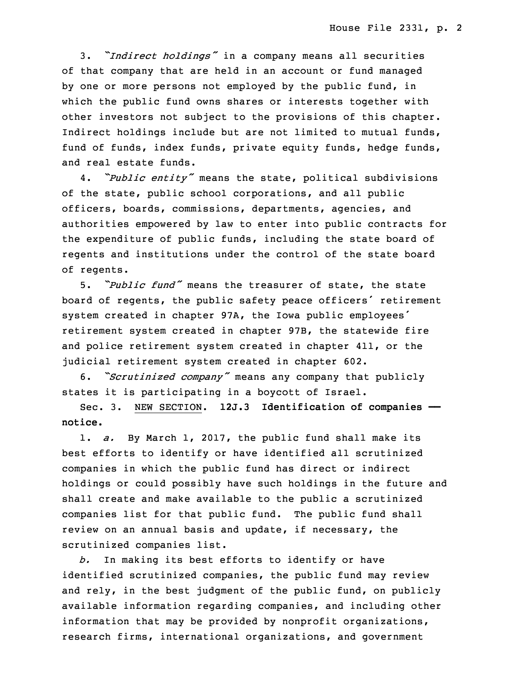3. *"Indirect holdings"* in <sup>a</sup> company means all securities of that company that are held in an account or fund managed by one or more persons not employed by the public fund, in which the public fund owns shares or interests together with other investors not subject to the provisions of this chapter. Indirect holdings include but are not limited to mutual funds, fund of funds, index funds, private equity funds, hedge funds, and real estate funds.

4. *"Public entity"* means the state, political subdivisions of the state, public school corporations, and all public officers, boards, commissions, departments, agencies, and authorities empowered by law to enter into public contracts for the expenditure of public funds, including the state board of regents and institutions under the control of the state board of regents.

5. *"Public fund"* means the treasurer of state, the state board of regents, the public safety peace officers' retirement system created in chapter 97A, the Iowa public employees' retirement system created in chapter 97B, the statewide fire and police retirement system created in chapter 411, or the judicial retirement system created in chapter 602.

6. *"Scrutinized company"* means any company that publicly states it is participating in <sup>a</sup> boycott of Israel.

Sec. 3. NEW SECTION. **12J.3 Identification of companies — notice.**

1. *a.* By March 1, 2017, the public fund shall make its best efforts to identify or have identified all scrutinized companies in which the public fund has direct or indirect holdings or could possibly have such holdings in the future and shall create and make available to the public <sup>a</sup> scrutinized companies list for that public fund. The public fund shall review on an annual basis and update, if necessary, the scrutinized companies list.

*b.* In making its best efforts to identify or have identified scrutinized companies, the public fund may review and rely, in the best judgment of the public fund, on publicly available information regarding companies, and including other information that may be provided by nonprofit organizations, research firms, international organizations, and government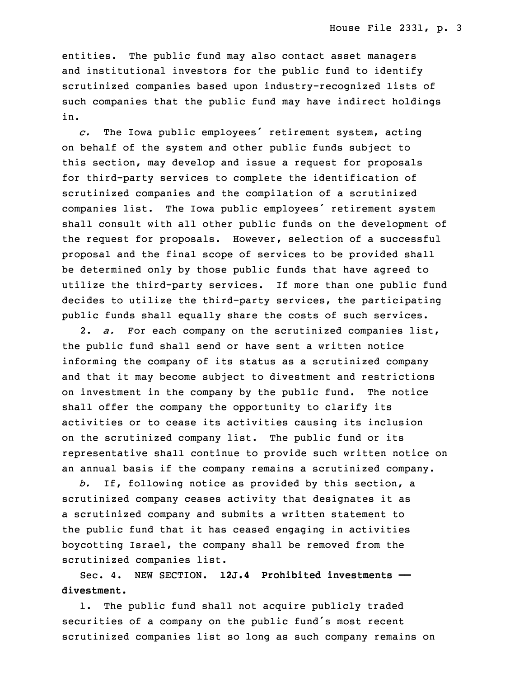entities. The public fund may also contact asset managers and institutional investors for the public fund to identify scrutinized companies based upon industry-recognized lists of such companies that the public fund may have indirect holdings in.

*c.* The Iowa public employees' retirement system, acting on behalf of the system and other public funds subject to this section, may develop and issue <sup>a</sup> request for proposals for third-party services to complete the identification of scrutinized companies and the compilation of <sup>a</sup> scrutinized companies list. The Iowa public employees' retirement system shall consult with all other public funds on the development of the request for proposals. However, selection of <sup>a</sup> successful proposal and the final scope of services to be provided shall be determined only by those public funds that have agreed to utilize the third-party services. If more than one public fund decides to utilize the third-party services, the participating public funds shall equally share the costs of such services.

2. *a.* For each company on the scrutinized companies list, the public fund shall send or have sent <sup>a</sup> written notice informing the company of its status as <sup>a</sup> scrutinized company and that it may become subject to divestment and restrictions on investment in the company by the public fund. The notice shall offer the company the opportunity to clarify its activities or to cease its activities causing its inclusion on the scrutinized company list. The public fund or its representative shall continue to provide such written notice on an annual basis if the company remains <sup>a</sup> scrutinized company.

*b.* If, following notice as provided by this section, <sup>a</sup> scrutinized company ceases activity that designates it as <sup>a</sup> scrutinized company and submits <sup>a</sup> written statement to the public fund that it has ceased engaging in activities boycotting Israel, the company shall be removed from the scrutinized companies list.

Sec. 4. NEW SECTION. **12J.4 Prohibited investments — divestment.**

1. The public fund shall not acquire publicly traded securities of <sup>a</sup> company on the public fund's most recent scrutinized companies list so long as such company remains on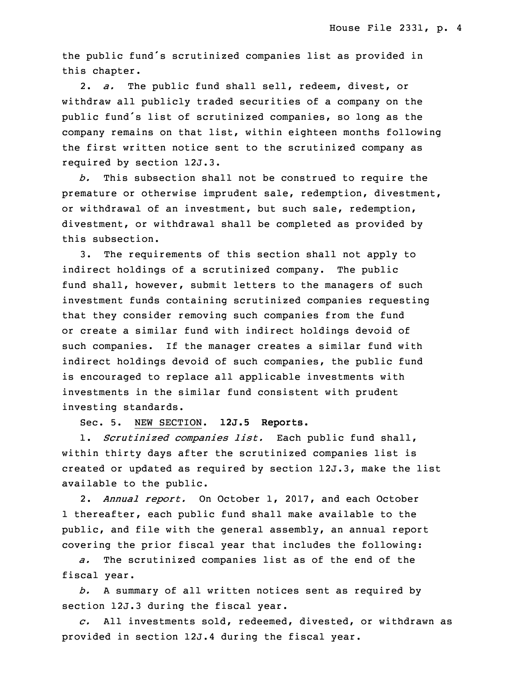the public fund's scrutinized companies list as provided in this chapter.

2. *a.* The public fund shall sell, redeem, divest, or withdraw all publicly traded securities of <sup>a</sup> company on the public fund's list of scrutinized companies, so long as the company remains on that list, within eighteen months following the first written notice sent to the scrutinized company as required by section 12J.3.

*b.* This subsection shall not be construed to require the premature or otherwise imprudent sale, redemption, divestment, or withdrawal of an investment, but such sale, redemption, divestment, or withdrawal shall be completed as provided by this subsection.

3. The requirements of this section shall not apply to indirect holdings of <sup>a</sup> scrutinized company. The public fund shall, however, submit letters to the managers of such investment funds containing scrutinized companies requesting that they consider removing such companies from the fund or create <sup>a</sup> similar fund with indirect holdings devoid of such companies. If the manager creates <sup>a</sup> similar fund with indirect holdings devoid of such companies, the public fund is encouraged to replace all applicable investments with investments in the similar fund consistent with prudent investing standards.

Sec. 5. NEW SECTION. **12J.5 Reports.**

1. *Scrutinized companies list.* Each public fund shall, within thirty days after the scrutinized companies list is created or updated as required by section 12J.3, make the list available to the public.

2. *Annual report.* On October 1, 2017, and each October 1 thereafter, each public fund shall make available to the public, and file with the general assembly, an annual report covering the prior fiscal year that includes the following:

*a.* The scrutinized companies list as of the end of the fiscal year.

*b.* <sup>A</sup> summary of all written notices sent as required by section 12J.3 during the fiscal year.

*c.* All investments sold, redeemed, divested, or withdrawn as provided in section 12J.4 during the fiscal year.